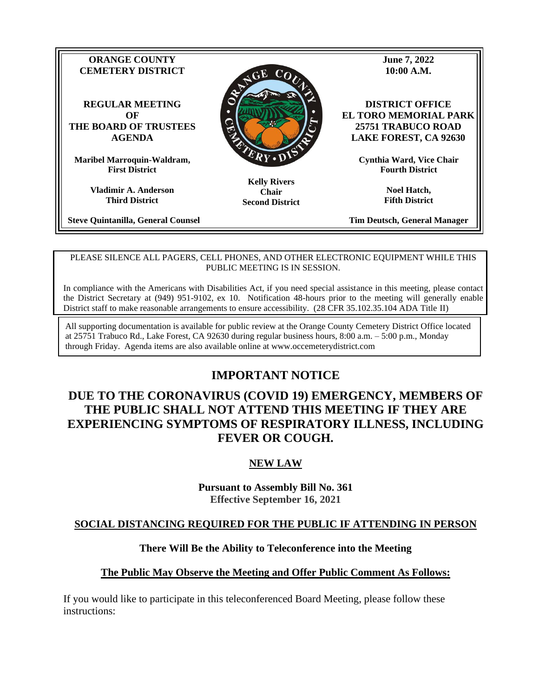

**Vladimir A. Anderson Third District**

**Steve Quintanilla, General Counsel**

**Tim Deutsch, General Manager**

**Fifth District**

#### PLEASE SILENCE ALL PAGERS, CELL PHONES, AND OTHER ELECTRONIC EQUIPMENT WHILE THIS PUBLIC MEETING IS IN SESSION.

**Second District**

In compliance with the Americans with Disabilities Act, if you need special assistance in this meeting, please contact the District Secretary at (949) 951-9102, ex 10. Notification 48-hours prior to the meeting will generally enable District staff to make reasonable arrangements to ensure accessibility. (28 CFR 35.102.35.104 ADA Title II)

All supporting documentation is available for public review at the Orange County Cemetery District Office located at 25751 Trabuco Rd., Lake Forest, CA 92630 during regular business hours, 8:00 a.m. – 5:00 p.m., Monday through Friday. Agenda items are also available online at www.occemeterydistrict.com

# **IMPORTANT NOTICE**

# **DUE TO THE CORONAVIRUS (COVID 19) EMERGENCY, MEMBERS OF THE PUBLIC SHALL NOT ATTEND THIS MEETING IF THEY ARE EXPERIENCING SYMPTOMS OF RESPIRATORY ILLNESS, INCLUDING FEVER OR COUGH.**

## **NEW LAW**

**Pursuant to Assembly Bill No. 361 Effective September 16, 2021**

#### **SOCIAL DISTANCING REQUIRED FOR THE PUBLIC IF ATTENDING IN PERSON**

#### **There Will Be the Ability to Teleconference into the Meeting**

#### **The Public May Observe the Meeting and Offer Public Comment As Follows:**

If you would like to participate in this teleconferenced Board Meeting, please follow these instructions: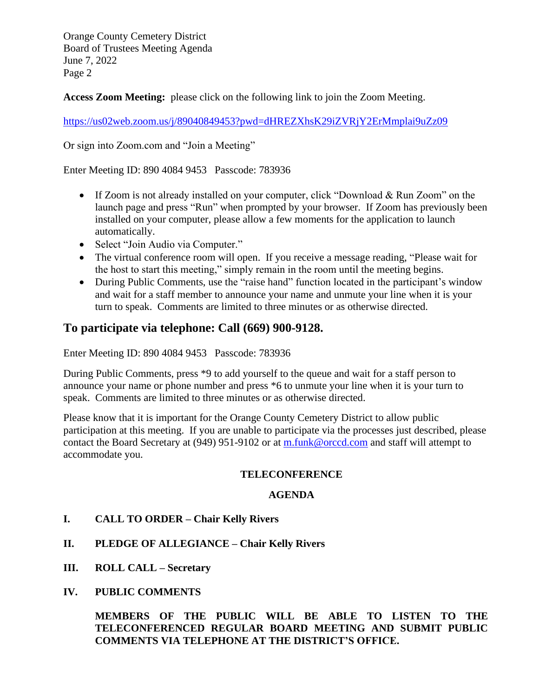**Access Zoom Meeting:** please click on the following link to join the Zoom Meeting.

<https://us02web.zoom.us/j/89040849453?pwd=dHREZXhsK29iZVRjY2ErMmplai9uZz09>

Or sign into Zoom.com and "Join a Meeting"

Enter Meeting ID: 890 4084 9453 Passcode: 783936

- If Zoom is not already installed on your computer, click "Download & Run Zoom" on the launch page and press "Run" when prompted by your browser. If Zoom has previously been installed on your computer, please allow a few moments for the application to launch automatically.
- Select "Join Audio via Computer."
- The virtual conference room will open. If you receive a message reading, "Please wait for the host to start this meeting," simply remain in the room until the meeting begins.
- During Public Comments, use the "raise hand" function located in the participant's window and wait for a staff member to announce your name and unmute your line when it is your turn to speak. Comments are limited to three minutes or as otherwise directed.

# **To participate via telephone: Call (669) 900-9128.**

Enter Meeting ID: 890 4084 9453 Passcode: 783936

During Public Comments, press \*9 to add yourself to the queue and wait for a staff person to announce your name or phone number and press \*6 to unmute your line when it is your turn to speak. Comments are limited to three minutes or as otherwise directed.

Please know that it is important for the Orange County Cemetery District to allow public participation at this meeting. If you are unable to participate via the processes just described, please contact the Board Secretary at (949) 951-9102 or at [m.funk@orccd.com](mailto:m.funk@orccd.com) and staff will attempt to accommodate you.

## **TELECONFERENCE**

#### **AGENDA**

- **I. CALL TO ORDER – Chair Kelly Rivers**
- **II. PLEDGE OF ALLEGIANCE – Chair Kelly Rivers**
- **III. ROLL CALL – Secretary**
- **IV. PUBLIC COMMENTS**

**MEMBERS OF THE PUBLIC WILL BE ABLE TO LISTEN TO THE TELECONFERENCED REGULAR BOARD MEETING AND SUBMIT PUBLIC COMMENTS VIA TELEPHONE AT THE DISTRICT'S OFFICE.**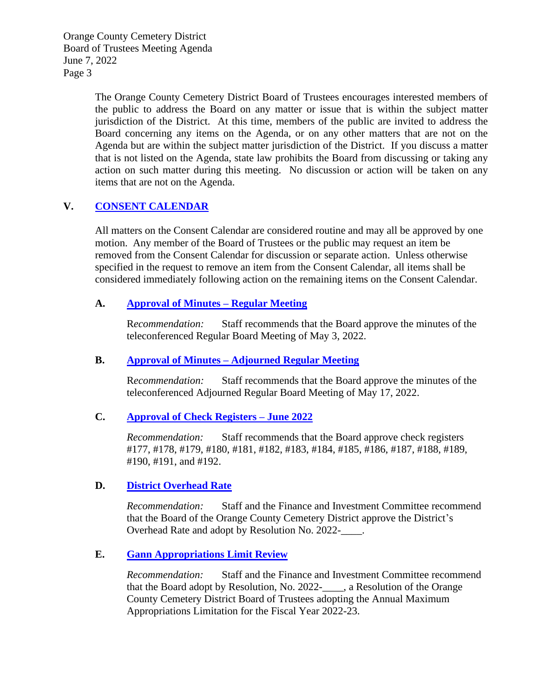> The Orange County Cemetery District Board of Trustees encourages interested members of the public to address the Board on any matter or issue that is within the subject matter jurisdiction of the District. At this time, members of the public are invited to address the Board concerning any items on the Agenda, or on any other matters that are not on the Agenda but are within the subject matter jurisdiction of the District. If you discuss a matter that is not listed on the Agenda, state law prohibits the Board from discussing or taking any action on such matter during this meeting. No discussion or action will be taken on any items that are not on the Agenda.

## **V. CONSENT [CALENDAR](http://occemeterydistrict.com/images/occd2/agendas/2022%20Agendas/060722RegBrdMtg/Consent%20Calendar%20Memo.pdf)**

All matters on the Consent Calendar are considered routine and may all be approved by one motion. Any member of the Board of Trustees or the public may request an item be removed from the Consent Calendar for discussion or separate action. Unless otherwise specified in the request to remove an item from the Consent Calendar, all items shall be considered immediately following action on the remaining items on the Consent Calendar.

## **A. Approval [of Minutes –](http://occemeterydistrict.com/images/occd2/agendas/2022%20Agendas/060722RegBrdMtg/5-3-22%20Meeting%20Minutes.pdf) Regular Meeting**

R*ecommendation:* Staff recommends that the Board approve the minutes of the teleconferenced Regular Board Meeting of May 3, 2022.

## **B. Approval of Minutes – [Adjourned Regular](http://occemeterydistrict.com/images/occd2/agendas/2022%20Agendas/060722RegBrdMtg/5-17-22%20Meeting%20Minutes.pdf) Meeting**

R*ecommendation:* Staff recommends that the Board approve the minutes of the teleconferenced Adjourned Regular Board Meeting of May 17, 2022.

## **C. Approval [of Check Registers –](http://occemeterydistrict.com/images/occd2/agendas/2022%20Agendas/060722RegBrdMtg/June%202022%20Check%20Register.pdf) June 2022**

*Recommendation:* Staff recommends that the Board approve check registers #177, #178, #179, #180, #181, #182, #183, #184, #185, #186, #187, #188, #189, #190, #191, and #192.

## **D. [District Overhead Rate](http://occemeterydistrict.com/images/occd2/agendas/2022%20Agendas/060722RegBrdMtg/District%20Overhead%20Rate.pdf)**

*Recommendation:* Staff and the Finance and Investment Committee recommend that the Board of the Orange County Cemetery District approve the District's Overhead Rate and adopt by Resolution No. 2022-\_\_\_\_.

## **E. [Gann Appropriations Limit Review](http://occemeterydistrict.com/images/occd2/agendas/2022%20Agendas/060722RegBrdMtg/Gann%20Appropriations%20Limit%20Review.pdf)**

*Recommendation:* Staff and the Finance and Investment Committee recommend that the Board adopt by Resolution, No. 2022-\_\_\_\_, a Resolution of the Orange County Cemetery District Board of Trustees adopting the Annual Maximum Appropriations Limitation for the Fiscal Year 2022-23.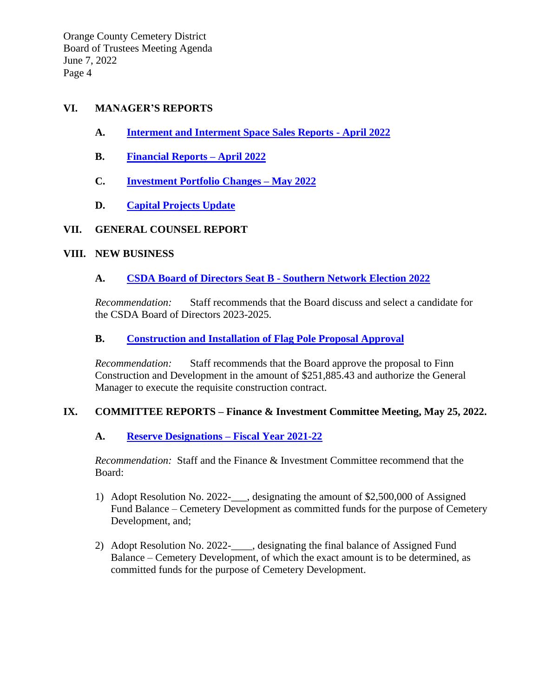## **VI. MANAGER'S REPORTS**

- **A. Interment [and Interment Space Sales](http://occemeterydistrict.com/images/occd2/agendas/2022%20Agendas/060722RegBrdMtg/Monthly%20Activity%20Report%20-%20April%202022.pdf) Reports - April 2022**
- **B. [Financial](http://occemeterydistrict.com/images/occd2/agendas/2022%20Agendas/060722RegBrdMtg/Financial%20Reports%20April%202022.pdf) Reports – April 2022**
- **C. [Investment Portfolio](http://occemeterydistrict.com/images/occd2/agendas/2022%20Agendas/060722RegBrdMtg/Investment%20Portfolio%20Changes%20-%20May%202022.pdf) Changes – May 2022**
- **D. [Capital Projects](http://occemeterydistrict.com/images/occd2/agendas/2022%20Agendas/060722RegBrdMtg/Capital%20Projects%20%26%20Fixed%20Asset%20Report.pdf) Update**

## **VII. GENERAL COUNSEL REPORT**

### **VIII. NEW BUSINESS**

## **A. [CSDA Board of Directors Seat B](http://occemeterydistrict.com/images/occd2/agendas/2022%20Agendas/060722RegBrdMtg/CSDA%20Directors%20Southern%20Network%20Seat%20B.pdf) - Southern Network Election 2022**

*Recommendation:* Staff recommends that the Board discuss and select a candidate for the CSDA Board of Directors 2023-2025.

## **B. [Construction and Installation of Flag Pole Proposal Approval](http://occemeterydistrict.com/images/occd2/agendas/2022%20Agendas/060722RegBrdMtg/Flag%20Pole%20Proposal%20Approval.pdf)**

*Recommendation:* Staff recommends that the Board approve the proposal to Finn Construction and Development in the amount of \$251,885.43 and authorize the General Manager to execute the requisite construction contract.

## **IX. COMMITTEE REPORTS – Finance & Investment Committee Meeting, May 25, 2022.**

## **A. Reserve Designations – [Fiscal Year 2021-22](http://occemeterydistrict.com/images/occd2/agendas/2022%20Agendas/060722RegBrdMtg/Reserve%20Designations%20FY%202021-22.pdf)**

*Recommendation:* Staff and the Finance & Investment Committee recommend that the Board:

- 1) Adopt Resolution No. 2022-\_\_\_, designating the amount of \$2,500,000 of Assigned Fund Balance – Cemetery Development as committed funds for the purpose of Cemetery Development, and;
- 2) Adopt Resolution No. 2022-\_\_\_\_, designating the final balance of Assigned Fund Balance – Cemetery Development, of which the exact amount is to be determined, as committed funds for the purpose of Cemetery Development.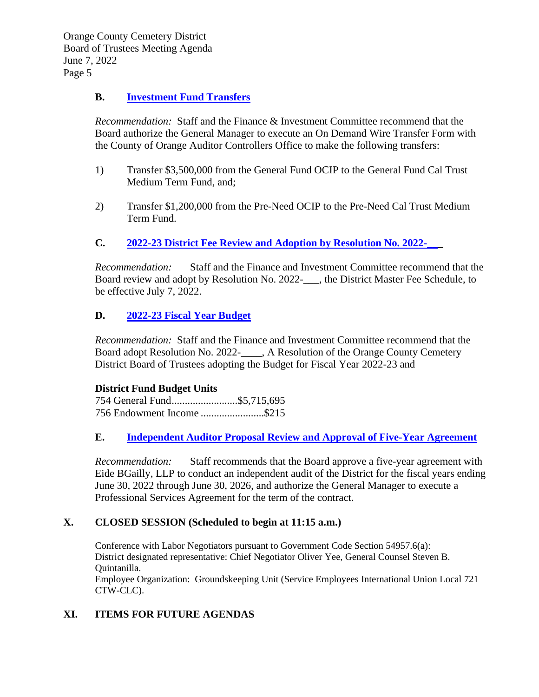## **B. [Investment Fund Transfers](http://occemeterydistrict.com/images/occd2/agendas/2022%20Agendas/060722RegBrdMtg/Investment%20Fund%20Transfers.pdf)**

*Recommendation:* Staff and the Finance & Investment Committee recommend that the Board authorize the General Manager to execute an On Demand Wire Transfer Form with the County of Orange Auditor Controllers Office to make the following transfers:

- 1) Transfer \$3,500,000 from the General Fund OCIP to the General Fund Cal Trust Medium Term Fund, and;
- 2) Transfer \$1,200,000 from the Pre-Need OCIP to the Pre-Need Cal Trust Medium Term Fund.

## **C. 2022-23 District Fee Review and Adoption by Resolution No. 2022-**

*Recommendation:* Staff and the Finance and Investment Committee recommend that the Board review and adopt by Resolution No. 2022-\_\_\_, the District Master Fee Schedule, to be effective July 7, 2022.

## **D. [2022-23 Fiscal Year Budget](http://occemeterydistrict.com/images/occd2/agendas/2022%20Agendas/060722RegBrdMtg/2022-23%20Fiscal%20Year%20Budget.pdf)**

*Recommendation:* Staff and the Finance and Investment Committee recommend that the Board adopt Resolution No. 2022- A Resolution of the Orange County Cemetery District Board of Trustees adopting the Budget for Fiscal Year 2022-23 and

#### **District Fund Budget Units**

754 General Fund.........................\$5,715,695 756 Endowment Income ........................\$215

## **E. [Independent Auditor Proposal Review and Approval of Five-Year Agreement](http://occemeterydistrict.com/images/occd2/agendas/2022%20Agendas/060722RegBrdMtg/Independent%20Auditor%20Proposal%20Review.pdf)**

*Recommendation:* Staff recommends that the Board approve a five-year agreement with Eide BGailly, LLP to conduct an independent audit of the District for the fiscal years ending June 30, 2022 through June 30, 2026, and authorize the General Manager to execute a Professional Services Agreement for the term of the contract.

## **X. CLOSED SESSION (Scheduled to begin at 11:15 a.m.)**

Conference with Labor Negotiators pursuant to Government Code Section 54957.6(a): District designated representative: Chief Negotiator Oliver Yee, General Counsel Steven B. Quintanilla.

Employee Organization: Groundskeeping Unit (Service Employees International Union Local 721 CTW-CLC).

## **XI. ITEMS FOR FUTURE AGENDAS**